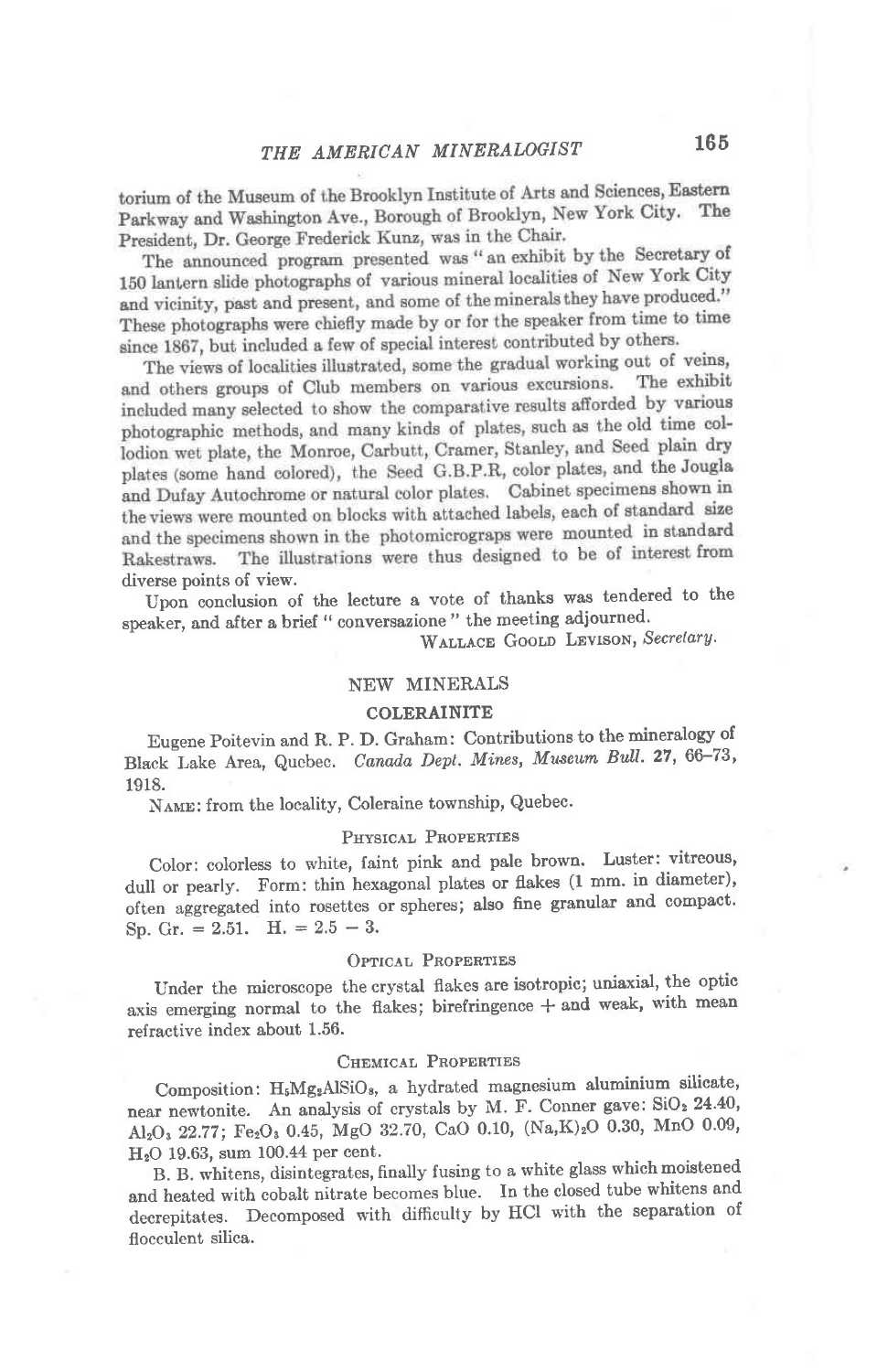torium of the Museum of the Brooklyn Institute of Arts and Sciences, Eastern Parkway and Washington Ave., Borough of Brooklyn, New York City. The President, Dr. George Frederick Kunz, was in the Chair.

The announced program presented was "an exhibit by the Secretary of 150 lantern slide photographs of various mineral localities of New York City and vicinity, past and present, and some of the minerals they have produced." These photographs were chiefly made by or for the speaker from time to time since 1867, but included a few of special interest contributed by others.

The views of localities illustrated, some the gradual working out of veins, and others groups of Club members on various excursions. The exhibit included many selected to show the comparative results afforded by various photographic methods, and many kinds of plates, such as the old time collodion wet plate, the Monroe, Carbutt, Cramer, Stanley, and Seed plain dry plates (some hand colored), the Seed G.B.P.R, color plates, and the Jougla and Dufay Autochrome or natural color plates. Cabinet specimens shown in the views were mounted on blocks with attached labels, each of standard size and the specimens shown in the photomicrograps were mounted in standard The illustrations were thus designed to be of interest from Rakestraws. diverse points of view.

Upon conclusion of the lecture a vote of thanks was tendered to the speaker, and after a brief " conversazione " the meeting adjourned.

WALLACE GOOLD LEVISON, Secretary.

## NEW MINERALS

### COLERAINITE

Eugene Poitevin and R. P. D' Graham: Contributions to the mineralogy of Black Lake Area, Quebec. Canada Dept. Mines, Museum Bull. 27, 66-73, 1918.

NAME: from the locality, Coleraine township, Quebec.

#### PHYSICAL PROPERTIES

Color: colorless to white, faint pink and pale brown. Luster: vitreous, dull or pearly. Form: thin hexagonal plates or flakes (1 mm. in diameter), often aggregated into rosettes or spheres; also fine granular and compact. Sp. Gr.  $= 2.51$ . H.  $= 2.5 - 3$ .

#### OPTICAL PROPERTIES

Under the microscope the crystal flakes are isotropic; uniaxial, the optic axis emerging normal to the flakes; birefringence  $+$  and weak, with mean refractive index about 1.56.

### CHEMICAL PROPERTIES

Composition: H<sub>5</sub>Mg<sub>2</sub>AlSiO<sub>8</sub>, a hydrated magnesium aluminium silicate, near newtonite. An analysis of crystals by M. F. Conner gave: SiO<sub>2</sub> 24.40,  $Al_2O_3$  22.77; Fe<sub>2</sub>O<sub>3</sub> 0.45, MgO 32.70, CaO 0.10, (Na,K)<sub>2</sub>O 0.30, MnO 0.09,  $H<sub>2</sub>O$  19.63, sum 100.44 per cent.

B. B. whitens, disintegrates, finally fusing to a white glass which moistened and heated with cobalt nitrate becomes blue. In the closed tube whitens and decrepitates. Decomposed with difficulty by HCl with the separation of flocculent silica.